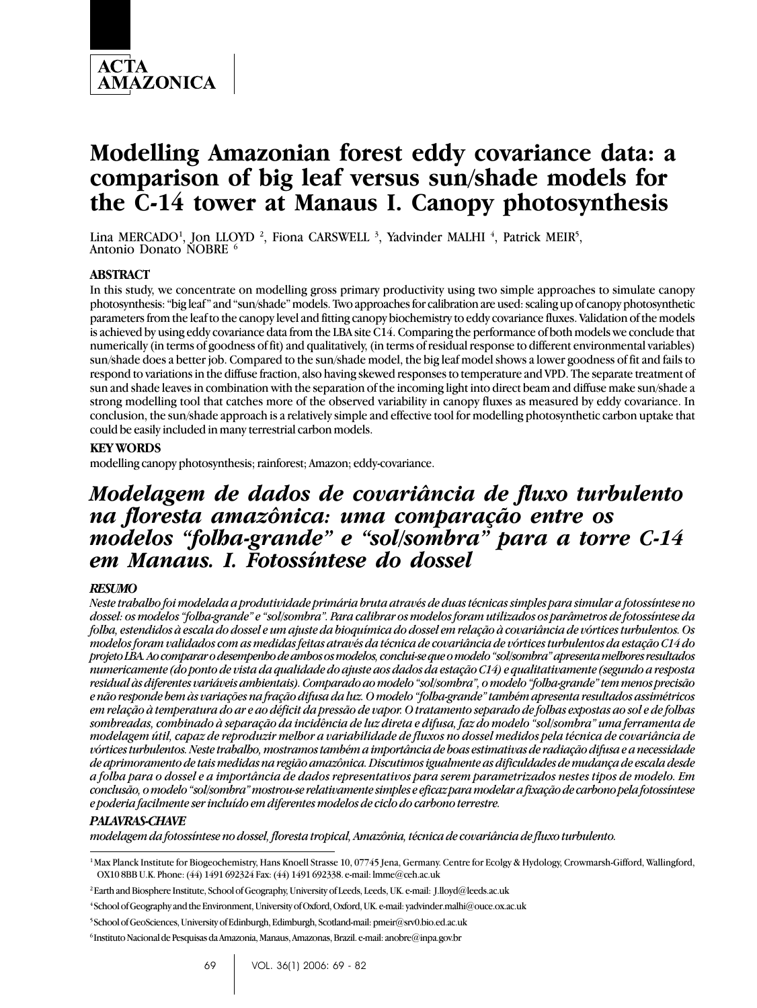

# **Modelling Amazonian forest eddy covariance data: a comparison of big leaf versus sun/shade models for the C-14 tower at Manaus I. Canopy photosynthesis**

Lina MERCADO<sup>1</sup>, Jon LLOYD <sup>2</sup>, Fiona CARSWELL <sup>3</sup>, Yadvinder MALHI <sup>4</sup>, Patrick MEIR<sup>5</sup>,<br>Antonio Donato NOBRE <sup>6</sup>

## **ABSTRACT**

In this study, we concentrate on modelling gross primary productivity using two simple approaches to simulate canopy photosynthesis: "big leaf" and "sun/shade" models. Two approaches for calibration are used: scaling up of canopy photosynthetic parameters from the leaf to the canopy level and fitting canopy biochemistry to eddy covariance fluxes. Validation of the models is achieved by using eddy covariance data from the LBA site C14. Comparing the performance of both models we conclude that numerically (in terms of goodness of fit) and qualitatively, (in terms of residual response to different environmental variables) sun/shade does a better job. Compared to the sun/shade model, the big leaf model shows a lower goodness of fit and fails to respond to variations in the diffuse fraction, also having skewed responses to temperature and VPD. The separate treatment of sun and shade leaves in combination with the separation of the incoming light into direct beam and diffuse make sun/shade a strong modelling tool that catches more of the observed variability in canopy fluxes as measured by eddy covariance. In conclusion, the sun/shade approach is a relatively simple and effective tool for modelling photosynthetic carbon uptake that could be easily included in many terrestrial carbon models.

## **KEY WORDS**

modelling canopy photosynthesis; rainforest; Amazon; eddy-covariance.

## *Modelagem de dados de covariância de fluxo turbulento na floresta amazônica: uma comparação entre os modelos "folha-grande" e "sol/sombra" para a torre C-14 em Manaus. I. Fotossíntese do dossel*

#### *RESUMO*

*Neste trabalho foi modelada a produtividade primária bruta através de duas técnicas simples para simular a fotossíntese no dossel: os modelos "folha-grande" e "sol/sombra". Para calibrar os modelos foram utilizados os parâmetros de fotossíntese da folha, estendidos à escala do dossel e um ajuste da bioquímica do dossel em relação à covariância de vórtices turbulentos. Os modelos foram validados com as medidas feitas através da técnica de covariância de vórtices turbulentos da estação C14 do projeto LBA. Ao comparar o desempenho de ambos os modelos, conclui-se que o modelo "sol/sombra" apresenta melhores resultados numericamente (do ponto de vista da qualidade do ajuste aos dados da estação C14) e qualitativamente (segundo a resposta residual às diferentes variáveis ambientais). Comparado ao modelo "sol/sombra", o modelo "folha-grande" tem menos precisão e não responde bem às variações na fração difusa da luz. O modelo "folha-grande" também apresenta resultados assimétricos em relação à temperatura do ar e ao déficit da pressão de vapor. O tratamento separado de folhas expostas ao sol e de folhas sombreadas, combinado à separação da incidência de luz direta e difusa, faz do modelo "sol/sombra" uma ferramenta de modelagem útil, capaz de reproduzir melhor a variabilidade de fluxos no dossel medidos pela técnica de covariância de vórtices turbulentos. Neste trabalho, mostramos também a importância de boas estimativas de radiação difusa e a necessidade de aprimoramento de tais medidas na região amazônica. Discutimos igualmente as dificuldades de mudança de escala desde a folha para o dossel e a importância de dados representativos para serem parametrizados nestes tipos de modelo. Em conclusão, o modelo "sol/sombra" mostrou-se relativamente simples e eficaz para modelar a fixação de carbono pela fotossíntese e poderia facilmente ser incluído em diferentes modelos de ciclo do carbono terrestre.*

#### *PALAVRAS-CHAVE*

*modelagem da fotossíntese no dossel, floresta tropical, Amazônia, técnica de covariância de fluxo turbulento.*

<sup>&</sup>lt;sup>1</sup> Max Planck Institute for Biogeochemistry, Hans Knoell Strasse 10, 07745 Jena, Germany. Centre for Ecolgy & Hydology, Crowmarsh-Gifford, Wallingford, OX10 8BB U.K. Phone: (44) 1491 692324 Fax: (44) 1491 692338. e-mail: lmme@ceh.ac.uk

<sup>2</sup> Earth and Biosphere Institute, School of Geography, University of Leeds, Leeds, UK. e-mail: J.lloyd@leeds.ac.uk

<sup>4</sup> School of Geography and the Environment, University of Oxford, Oxford, UK. e-mail: yadvinder.malhi@ouce.ox.ac.uk

<sup>5</sup> School of GeoSciences, University of Edinburgh, Edimburgh, Scotland-mail: pmeir@srv0.bio.ed.ac.uk

<sup>6</sup> Instituto Nacional de Pesquisas da Amazonia, Manaus, Amazonas, Brazil. e-mail: anobre@inpa.gov.br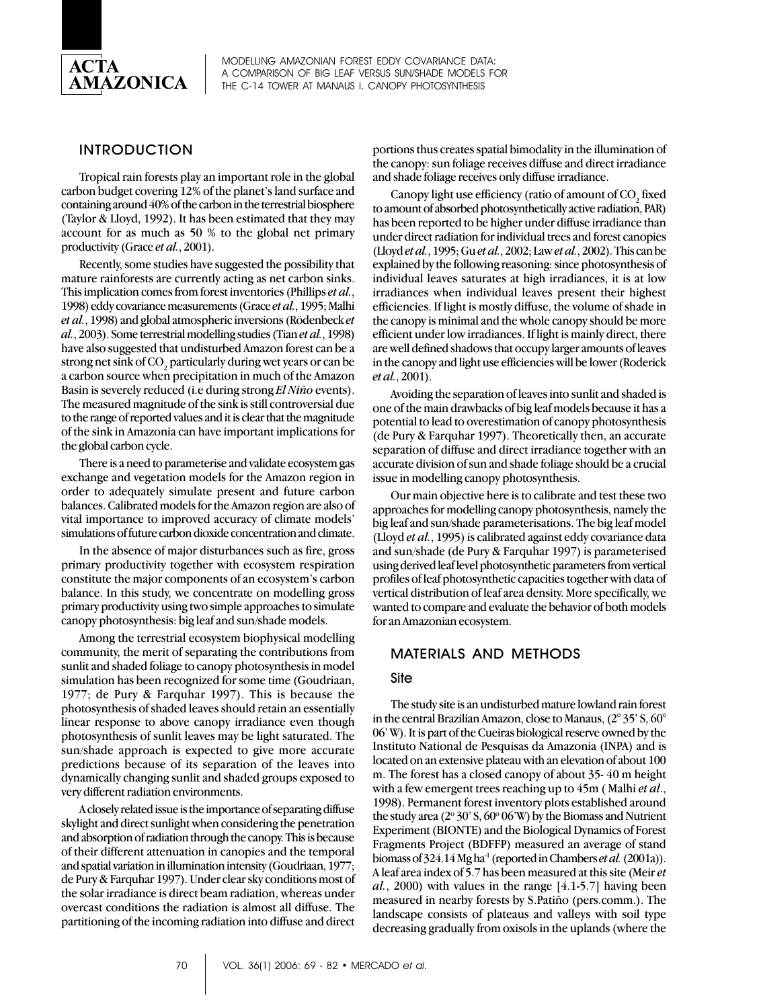

## INTRODUCTION

Tropical rain forests play an important role in the global carbon budget covering 12% of the planet's land surface and containing around 40% of the carbon in the terrestrial biosphere (Taylor & Lloyd, 1992). It has been estimated that they may account for as much as 50 % to the global net primary productivity (Grace *et al.*, 2001).

Recently, some studies have suggested the possibility that mature rainforests are currently acting as net carbon sinks. This implication comes from forest inventories (Phillips *et al.*, 1998) eddy covariance measurements (Grace *et al.*, 1995; Malhi *et al.*, 1998) and global atmospheric inversions (Rödenbeck *et al.*, 2003). Some terrestrial modelling studies (Tian *et al.*, 1998) have also suggested that undisturbed Amazon forest can be a strong net sink of CO $_{\textrm{\tiny{2}}}$  particularly during wet years or can be a carbon source when precipitation in much of the Amazon Basin is severely reduced (i.e during strong *El Niño* events). The measured magnitude of the sink is still controversial due to the range of reported values and it is clear that the magnitude of the sink in Amazonia can have important implications for the global carbon cycle.

There is a need to parameterise and validate ecosystem gas exchange and vegetation models for the Amazon region in order to adequately simulate present and future carbon balances. Calibrated models for the Amazon region are also of vital importance to improved accuracy of climate models' simulations of future carbon dioxide concentration and climate.

In the absence of major disturbances such as fire, gross primary productivity together with ecosystem respiration constitute the major components of an ecosystem's carbon balance. In this study, we concentrate on modelling gross primary productivity using two simple approaches to simulate canopy photosynthesis: big leaf and sun/shade models.

Among the terrestrial ecosystem biophysical modelling community, the merit of separating the contributions from sunlit and shaded foliage to canopy photosynthesis in model simulation has been recognized for some time (Goudriaan, 1977; de Pury & Farquhar 1997). This is because the photosynthesis of shaded leaves should retain an essentially linear response to above canopy irradiance even though photosynthesis of sunlit leaves may be light saturated. The sun/shade approach is expected to give more accurate predictions because of its separation of the leaves into dynamically changing sunlit and shaded groups exposed to very different radiation environments.

A closely related issue is the importance of separating diffuse skylight and direct sunlight when considering the penetration and absorption of radiation through the canopy. This is because of their different attenuation in canopies and the temporal and spatial variation in illumination intensity (Goudriaan, 1977; de Pury & Farquhar 1997). Under clear sky conditions most of the solar irradiance is direct beam radiation, whereas under overcast conditions the radiation is almost all diffuse. The partitioning of the incoming radiation into diffuse and direct

portions thus creates spatial bimodality in the illumination of the canopy: sun foliage receives diffuse and direct irradiance and shade foliage receives only diffuse irradiance.

Canopy light use efficiency (ratio of amount of  $CO<sub>2</sub>$  fixed to amount of absorbed photosynthetically active radiation, PAR) has been reported to be higher under diffuse irradiance than under direct radiation for individual trees and forest canopies (Lloyd *et al.*, 1995; Gu *et al.*, 2002; Law *et al.*, 2002). This can be explained by the following reasoning: since photosynthesis of individual leaves saturates at high irradiances, it is at low irradiances when individual leaves present their highest efficiencies. If light is mostly diffuse, the volume of shade in the canopy is minimal and the whole canopy should be more efficient under low irradiances. If light is mainly direct, there are well defined shadows that occupy larger amounts of leaves in the canopy and light use efficiencies will be lower (Roderick *et al.*, 2001).

Avoiding the separation of leaves into sunlit and shaded is one of the main drawbacks of big leaf models because it has a potential to lead to overestimation of canopy photosynthesis (de Pury & Farquhar 1997). Theoretically then, an accurate separation of diffuse and direct irradiance together with an accurate division of sun and shade foliage should be a crucial issue in modelling canopy photosynthesis.

Our main objective here is to calibrate and test these two approaches for modelling canopy photosynthesis, namely the big leaf and sun/shade parameterisations. The big leaf model (Lloyd *et al.*, 1995) is calibrated against eddy covariance data and sun/shade (de Pury & Farquhar 1997) is parameterised using derived leaf level photosynthetic parameters from vertical profiles of leaf photosynthetic capacities together with data of vertical distribution of leaf area density. More specifically, we wanted to compare and evaluate the behavior of both models for an Amazonian ecosystem.

## MATERIALS AND METHODS

## Site

The study site is an undisturbed mature lowland rain forest in the central Brazilian Amazon, close to Manaus, (2° 35' S, 60° 06' W). It is part of the Cueiras biological reserve owned by the Instituto National de Pesquisas da Amazonia (INPA) and is located on an extensive plateau with an elevation of about 100 m. The forest has a closed canopy of about 35- 40 m height with a few emergent trees reaching up to 45m ( Malhi *et al*., 1998). Permanent forest inventory plots established around the study area  $(2^{\circ}30^{\circ} S, 60^{\circ}06^{\circ} W)$  by the Biomass and Nutrient Experiment (BIONTE) and the Biological Dynamics of Forest Fragments Project (BDFFP) measured an average of stand biomass of 324.14 Mg ha-1 (reported in Chambers *et al.* (2001a)). A leaf area index of 5.7 has been measured at this site (Meir *et al.*, 2000) with values in the range [4.1-5.7] having been measured in nearby forests by S.Patiño (pers.comm.). The landscape consists of plateaus and valleys with soil type decreasing gradually from oxisols in the uplands (where the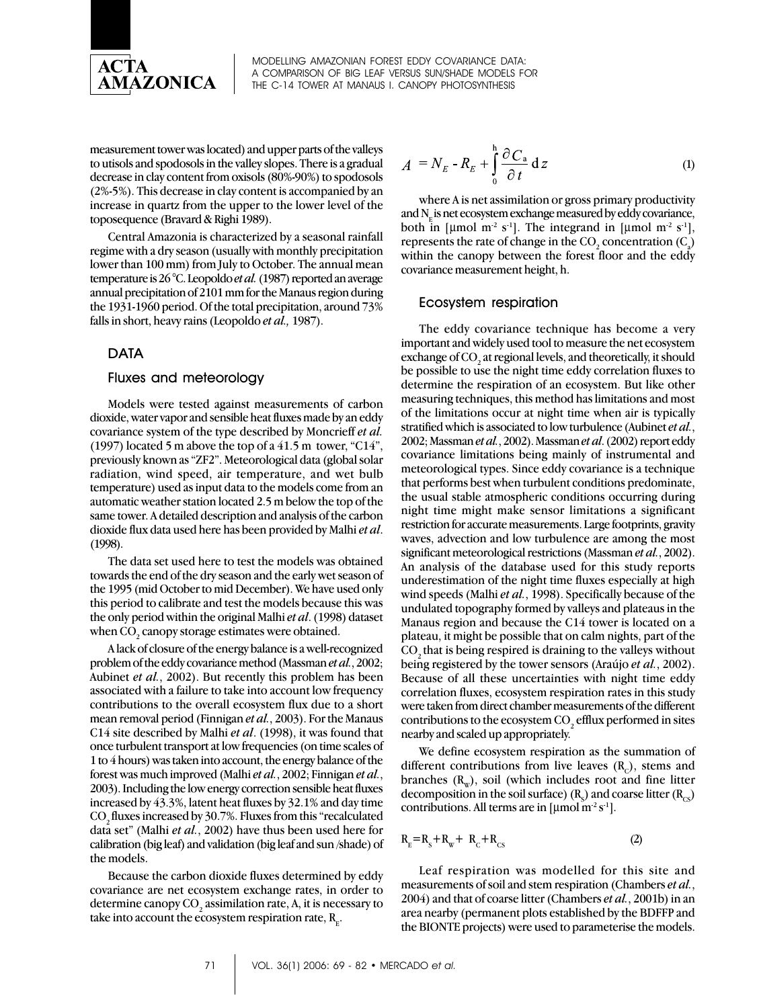

measurement tower was located) and upper parts of the valleys to utisols and spodosols in the valley slopes. There is a gradual decrease in clay content from oxisols (80%-90%) to spodosols (2%-5%). This decrease in clay content is accompanied by an increase in quartz from the upper to the lower level of the toposequence (Bravard & Righi 1989).

Central Amazonia is characterized by a seasonal rainfall regime with a dry season (usually with monthly precipitation lower than 100 mm) from July to October. The annual mean temperature is 26 °C. Leopoldo *et al.* (1987) reported an average annual precipitation of 2101 mm for the Manaus region during the 1931-1960 period. Of the total precipitation, around 73% falls in short, heavy rains (Leopoldo *et al.,* 1987).

## DATA

#### Fluxes and meteorology

Models were tested against measurements of carbon dioxide, water vapor and sensible heat fluxes made by an eddy covariance system of the type described by Moncrieff *et al.* (1997) located 5 m above the top of a 41.5 m tower, "C14", previously known as "ZF2". Meteorological data (global solar radiation, wind speed, air temperature, and wet bulb temperature) used as input data to the models come from an automatic weather station located 2.5 m below the top of the same tower. A detailed description and analysis of the carbon dioxide flux data used here has been provided by Malhi *et al*. (1998).

The data set used here to test the models was obtained towards the end of the dry season and the early wet season of the 1995 (mid October to mid December). We have used only this period to calibrate and test the models because this was the only period within the original Malhi *et al*. (1998) dataset when CO $_{\textrm{\tiny{2}}}$  canopy storage estimates were obtained.

A lack of closure of the energy balance is a well-recognized problem of the eddy covariance method (Massman *et al.*, 2002; Aubinet *et al.*, 2002). But recently this problem has been associated with a failure to take into account low frequency contributions to the overall ecosystem flux due to a short mean removal period (Finnigan *et al.*, 2003). For the Manaus C14 site described by Malhi *et al*. (1998), it was found that once turbulent transport at low frequencies (on time scales of 1 to 4 hours) was taken into account, the energy balance of the forest was much improved (Malhi *et al.*, 2002; Finnigan *et al.*, 2003). Including the low energy correction sensible heat fluxes increased by 43.3%, latent heat fluxes by 32.1% and day time CO<sub>2</sub> fluxes increased by 30.7%. Fluxes from this "recalculated data set" (Malhi *et al.*, 2002) have thus been used here for calibration (big leaf) and validation (big leaf and sun /shade) of the models.

Because the carbon dioxide fluxes determined by eddy covariance are net ecosystem exchange rates, in order to determine canopy CO<sub>2</sub> assimilation rate, A, it is necessary to take into account the ecosystem respiration rate,  $\texttt{R}_{_{\rm E}}$ .

$$
A = N_E - R_E + \int_{0}^{h} \frac{\partial C_a}{\partial t} dz
$$
 (1)

where A is net assimilation or gross primary productivity and  $N<sub>e</sub>$  is net ecosystem exchange measured by eddy covariance, both in [µmol m<sup>-2</sup> s<sup>-1</sup>]. The integrand in [µmol m<sup>-2</sup> s<sup>-1</sup>], represents the rate of change in the  $\mathrm{CO}_2$  concentration  $(\mathrm{C}_3)$ within the canopy between the forest floor and the eddy covariance measurement height, h.

#### Ecosystem respiration

The eddy covariance technique has become a very important and widely used tool to measure the net ecosystem exchange of  $\mathrm{CO}_2$  at regional levels, and theoretically, it should be possible to use the night time eddy correlation fluxes to determine the respiration of an ecosystem. But like other measuring techniques, this method has limitations and most of the limitations occur at night time when air is typically stratified which is associated to low turbulence (Aubinet *et al.*, 2002; Massman *et al.*, 2002). Massman *et al*. (2002) report eddy covariance limitations being mainly of instrumental and meteorological types. Since eddy covariance is a technique that performs best when turbulent conditions predominate, the usual stable atmospheric conditions occurring during night time might make sensor limitations a significant restriction for accurate measurements. Large footprints, gravity waves, advection and low turbulence are among the most significant meteorological restrictions (Massman *et al.*, 2002). An analysis of the database used for this study reports underestimation of the night time fluxes especially at high wind speeds (Malhi *et al.*, 1998). Specifically because of the undulated topography formed by valleys and plateaus in the Manaus region and because the C14 tower is located on a plateau, it might be possible that on calm nights, part of the CO<sub>2</sub> that is being respired is draining to the valleys without being registered by the tower sensors (Araújo *et al.*, 2002). Because of all these uncertainties with night time eddy correlation fluxes, ecosystem respiration rates in this study were taken from direct chamber measurements of the different contributions to the ecosystem  $\mathrm{CO}_2$  efflux performed in sites nearby and scaled up appropriately.

We define ecosystem respiration as the summation of different contributions from live leaves  $(R<sub>c</sub>)$ , stems and branches  $(R_w)$ , soil (which includes root and fine litter decomposition in the soil surface)  $(\text{R}_{\text{s}})$  and coarse litter  $(\text{R}_{\text{cs}})$ contributions. All terms are in  $\left[\mu\text{mol}\,\text{m}^2\,\text{s}^1\right]$ .

$$
\mathbf{R}_{\rm E} = \mathbf{R}_{\rm S} + \mathbf{R}_{\rm w} + \mathbf{R}_{\rm C} + \mathbf{R}_{\rm CS} \tag{2}
$$

Leaf respiration was modelled for this site and measurements of soil and stem respiration (Chambers *et al.*, 2004) and that of coarse litter (Chambers *et al.*, 2001b) in an area nearby (permanent plots established by the BDFFP and the BIONTE projects) were used to parameterise the models.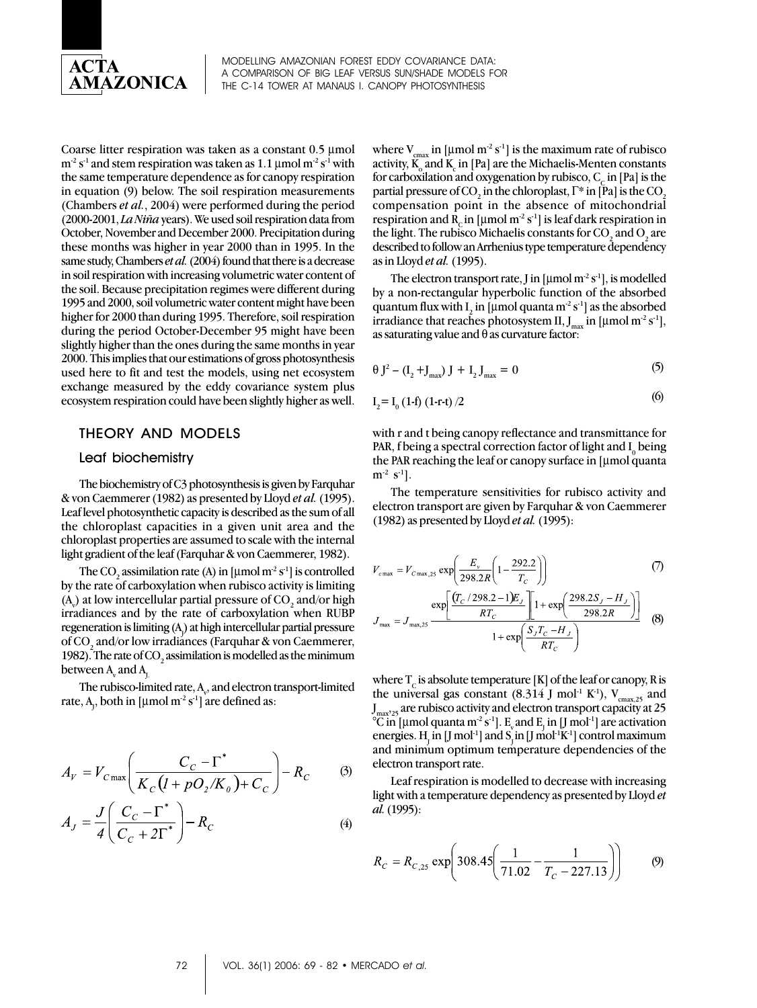

Coarse litter respiration was taken as a constant 0.5 μmol  $m<sup>2</sup> s<sup>-1</sup>$  and stem respiration was taken as 1.1 µmol m<sup>-2</sup> s<sup>-1</sup> with the same temperature dependence as for canopy respiration in equation (9) below. The soil respiration measurements (Chambers *et al.*, 2004) were performed during the period (2000-2001, *La Niña* years). We used soil respiration data from October, November and December 2000. Precipitation during these months was higher in year 2000 than in 1995. In the same study, Chambers *et al.* (2004) found that there is a decrease in soil respiration with increasing volumetric water content of the soil. Because precipitation regimes were different during 1995 and 2000, soil volumetric water content might have been higher for 2000 than during 1995. Therefore, soil respiration during the period October-December 95 might have been slightly higher than the ones during the same months in year 2000. This implies that our estimations of gross photosynthesis used here to fit and test the models, using net ecosystem exchange measured by the eddy covariance system plus ecosystem respiration could have been slightly higher as well.

## THEORY AND MODELS

#### Leaf biochemistry

The biochemistry of C3 photosynthesis is given by Farquhar & von Caemmerer (1982) as presented by Lloyd *et al.* (1995). Leaf level photosynthetic capacity is described as the sum of all the chloroplast capacities in a given unit area and the chloroplast properties are assumed to scale with the internal light gradient of the leaf (Farquhar & von Caemmerer, 1982).

The CO<sub>2</sub> assimilation rate (A) in [µmol m<sup>-2</sup> s<sup>-1</sup>] is controlled by the rate of carboxylation when rubisco activity is limiting (A<sub>v</sub>) at low intercellular partial pressure of CO<sub>2</sub> and/or high irradiances and by the rate of carboxylation when RUBP regeneration is limiting (A<sub>)</sub>) at high intercellular partial pressure of CO $_{\rm 2}$  and/or low irradiances (Farquhar & von Caemmerer, 1982). The rate of  $\mathrm{CO}_2$  assimilation is modelled as the minimum between  $\text{A}_{\!\scriptscriptstyle\rm y}$  and  $\text{A}_{\!\scriptscriptstyle\rm J\hspace{-1pt}I}$ 

The rubisco-limited rate,  $\rm A_{v}$ , and electron transport-limited rate,  $A_j$ , both in [µmol m $^2$  s $^1$ ] are defined as:

$$
A_V = V_{C\max} \left( \frac{C_C - \Gamma^*}{K_C (I + pO_2/K_0) + C_C} \right) - R_C \tag{3}
$$

$$
A_J = \frac{J}{4} \left( \frac{C_C - \Gamma^*}{C_C + 2\Gamma^*} \right) - R_C \tag{4}
$$

where  $V_{\text{cmax}}$  in [µmol m<sup>-2</sup> s<sup>-1</sup>] is the maximum rate of rubisco activity,  $\text{K}_{_{\text{o}}}$  and  $\text{K}_{_{\text{c}}}$  in [Pa] are the Michaelis-Menten constants for carboxilation and oxygenation by rubisco,  $C_c$  in [Pa] is the partial pressure of CO<sub>2</sub> in the chloroplast,  $\Gamma^\ast$  in [Pa] is the CO<sub>2</sub> compensation point in the absence of mitochondrial respiration and  $R_c$  in [µmol m<sup>-2</sup> s<sup>-1</sup>] is leaf dark respiration in the light. The rubisco Michaelis constants for CO<sub>2</sub> and O<sub>2</sub> are described to follow an Arrhenius type temperature dependency as in Lloyd *et al.* (1995).

The electron transport rate, J in  $\left[\mu\right]$  mol m<sup>-2</sup> s<sup>-1</sup>, is modelled by a non-rectangular hyperbolic function of the absorbed quantum flux with  $I_2$  in [µmol quanta m<sup>-2</sup> s<sup>-1</sup>] as the absorbed irradiance that reaches photosystem II,  $J_{max}$  in [µmol m<sup>-2</sup> s<sup>-1</sup>], as saturating value and  $\theta$  as curvature factor:

$$
\theta J^2 - (I_2 + J_{\text{max}}) J + I_2 J_{\text{max}} = 0
$$
 (5)

$$
I_2 = I_0 (1-f) (1-r-t)/2
$$
 (6)

with r and t being canopy reflectance and transmittance for PAR, f being a spectral correction factor of light and  $I_0$  being the PAR reaching the leaf or canopy surface in [μmol quanta  $m^{-2}$  s<sup>-1</sup>].

The temperature sensitivities for rubisco activity and electron transport are given by Farquhar & von Caemmerer (1982) as presented by Lloyd *et al.* (1995):

$$
V_{c\max} = V_{c\max,25} \exp\left(\frac{E_v}{298.2R} \left(1 - \frac{292.2}{T_c}\right)\right)
$$
 (7)  

$$
\exp\left[\frac{(T_c/298.2 - 1)E_J}{T_c}\right] \left[1 + \exp\left(\frac{298.2S_J - H_J}{T_c}\right)\right]
$$

$$
J_{\text{max}} = J_{\text{max},25} \frac{\exp\left[\frac{RT_C}{RT_C}\right]^{1+\exp\left[\frac{798.2R}{1+\exp\left[\frac{5T_C-H_J}{RT_C}\right]}\right]} \quad (8)
$$

where  $T_c$  is absolute temperature [K] of the leaf or canopy, R is the universal gas constant (8.314 J mol<sup>-1</sup> K<sup>-1</sup>), V<sub>cmax,25</sub> and  ${\rm J}_{\rm max'25}$  are rubisco activity and electron transport capacity at 25 °C in [µmol quanta m<sup>-2</sup> s<sup>-1</sup>]. E<sub>v</sub> and E<sub>J</sub> in [J mol<sup>-1</sup>] are activation energies.  $H_j$  in [J mol<sup>-1</sup>] and S<sub>j</sub> in [J mol<sup>-1</sup>K<sup>-1</sup>] control maximum and minimum optimum temperature dependencies of the electron transport rate.

Leaf respiration is modelled to decrease with increasing light with a temperature dependency as presented by Lloyd *et al.* (1995):

$$
R_C = R_{C,25} \exp\left(308.45\left(\frac{1}{71.02} - \frac{1}{T_C - 227.13}\right)\right) \tag{9}
$$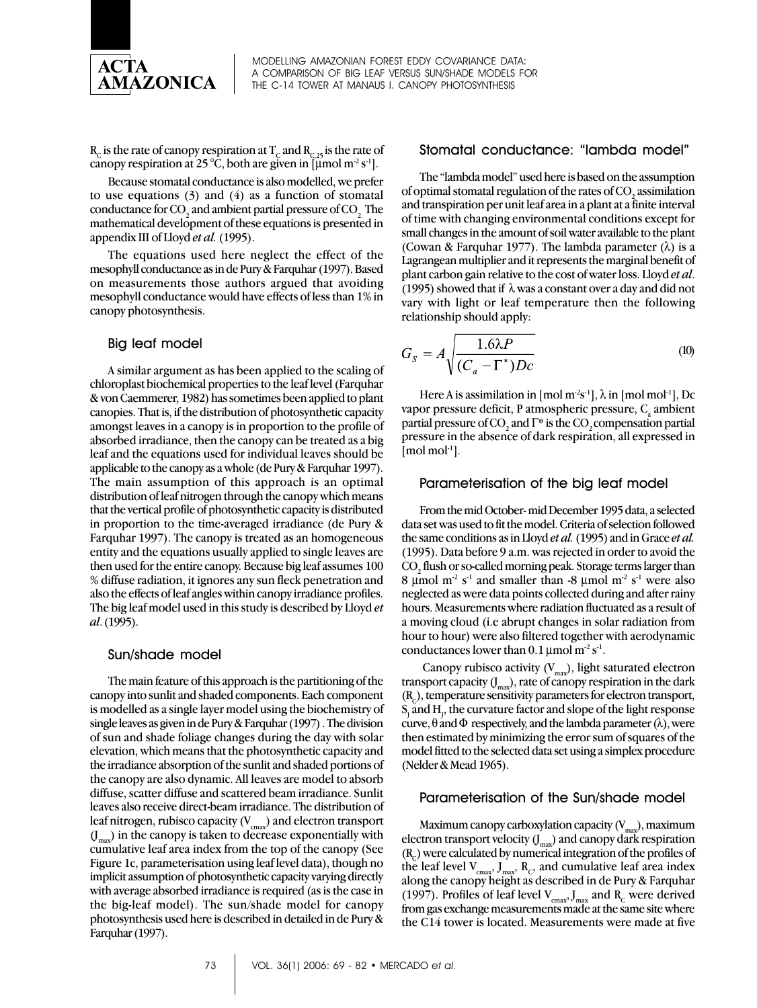

 $R_c$  is the rate of canopy respiration at T<sub>c</sub> and  $R_{c,25}$  is the rate of canopy respiration at 25 °C, both are given in  $\lceil \mu \bmod m^2 s^1 \rceil$ .

Because stomatal conductance is also modelled, we prefer to use equations  $(3)$  and  $(4)$  as a function of stomatal conductance for CO<sub>2</sub> and ambient partial pressure of CO<sub>2</sub>. The mathematical development of these equations is presented in appendix III of Lloyd *et al.* (1995).

The equations used here neglect the effect of the mesophyll conductance as in de Pury & Farquhar (1997). Based on measurements those authors argued that avoiding mesophyll conductance would have effects of less than 1% in canopy photosynthesis.

#### Big leaf model

A similar argument as has been applied to the scaling of chloroplast biochemical properties to the leaf level (Farquhar & von Caemmerer, 1982) has sometimes been applied to plant canopies. That is, if the distribution of photosynthetic capacity amongst leaves in a canopy is in proportion to the profile of absorbed irradiance, then the canopy can be treated as a big leaf and the equations used for individual leaves should be applicable to the canopy as a whole (de Pury & Farquhar 1997). The main assumption of this approach is an optimal distribution of leaf nitrogen through the canopy which means that the vertical profile of photosynthetic capacity is distributed in proportion to the time-averaged irradiance (de Pury & Farquhar 1997). The canopy is treated as an homogeneous entity and the equations usually applied to single leaves are then used for the entire canopy. Because big leaf assumes 100 % diffuse radiation, it ignores any sun fleck penetration and also the effects of leaf angles within canopy irradiance profiles. The big leaf model used in this study is described by Lloyd *et al*. (1995).

#### Sun/shade model

The main feature of this approach is the partitioning of the canopy into sunlit and shaded components. Each component is modelled as a single layer model using the biochemistry of single leaves as given in de Pury & Farquhar (1997) . The division of sun and shade foliage changes during the day with solar elevation, which means that the photosynthetic capacity and the irradiance absorption of the sunlit and shaded portions of the canopy are also dynamic. All leaves are model to absorb diffuse, scatter diffuse and scattered beam irradiance. Sunlit leaves also receive direct-beam irradiance. The distribution of leaf nitrogen, rubisco capacity  $(V_{\text{cmax}})$  and electron transport  $(J_{\text{max}})$  in the canopy is taken to decrease exponentially with cumulative leaf area index from the top of the canopy (See Figure 1c, parameterisation using leaf level data), though no implicit assumption of photosynthetic capacity varying directly with average absorbed irradiance is required (as is the case in the big-leaf model). The sun/shade model for canopy photosynthesis used here is described in detailed in de Pury & Farquhar (1997).

## Stomatal conductance: "lambda model"

The "lambda model" used here is based on the assumption of optimal stomatal regulation of the rates of CO<sub>2</sub> assimilation and transpiration per unit leaf area in a plant at a finite interval of time with changing environmental conditions except for small changes in the amount of soil water available to the plant (Cowan & Farquhar 1977). The lambda parameter  $(\lambda)$  is a Lagrangean multiplier and it represents the marginal benefit of plant carbon gain relative to the cost of water loss. Lloyd *et al*. (1995) showed that if  $\lambda$  was a constant over a day and did not vary with light or leaf temperature then the following relationship should apply:

$$
G_S = A \sqrt{\frac{1.6\lambda P}{(C_a - \Gamma^*) D c}}
$$
 (10)

Here A is assimilation in  $\lceil \text{mol m}^2 \text{s}^{-1} \rceil$ ,  $\lambda$  in  $\lceil \text{mol mol}^{-1} \rceil$ , Dc vapor pressure deficit, P atmospheric pressure,  $C_{\alpha}$  ambient partial pressure of CO<sub>2</sub> and  $\Gamma^*$  is the CO<sub>2</sub> compensation partial pressure in the absence of dark respiration, all expressed in  $[mol \text{ mol}^{-1}].$ 

#### Parameterisation of the big leaf model

From the mid October- mid December 1995 data, a selected data set was used to fit the model. Criteria of selection followed the same conditions as in Lloyd *et al.* (1995) and in Grace *et al.* (1995). Data before 9 a.m. was rejected in order to avoid the  $\mathrm{CO}_2$  flush or so-called morning peak. Storage terms larger than 8 μmol m<sup>-2</sup> s<sup>-1</sup> and smaller than -8 μmol m<sup>-2</sup> s<sup>-1</sup> were also neglected as were data points collected during and after rainy hours. Measurements where radiation fluctuated as a result of a moving cloud (i.e abrupt changes in solar radiation from hour to hour) were also filtered together with aerodynamic conductances lower than  $0.1 \mu$  mol m<sup>-2</sup> s<sup>-1</sup>.

Canopy rubisco activity  $(V_{max})$ , light saturated electron transport capacity  $(J_{max})$ , rate of canopy respiration in the dark  $(R<sub>c</sub>)$ , temperature sensitivity parameters for electron transport,  $S<sub>j</sub>$  and  $H<sub>j</sub>$ , the curvature factor and slope of the light response curve,  $\theta$  and  $\Phi$  respectively, and the lambda parameter  $(\lambda)$ , were then estimated by minimizing the error sum of squares of the model fitted to the selected data set using a simplex procedure (Nelder & Mead 1965).

#### Parameterisation of the Sun/shade model

Maximum canopy carboxylation capacity  $(V_{\text{max}})$ , maximum electron transport velocity  $(J_{\text{max}})$  and canopy dark respiration  $(R<sub>c</sub>)$  were calculated by numerical integration of the profiles of the leaf level  $V_{\text{cmax}}$ ,  $J_{\text{max}}$ ,  $R_{\text{c}}$ , and cumulative leaf area index along the canopy height as described in de Pury & Farquhar (1997). Profiles of leaf level  $V_{\text{cmax}}$ ,  $J_{\text{max}}$  and  $R_{\text{c}}$  were derived from gas exchange measurements made at the same site where the C14 tower is located. Measurements were made at five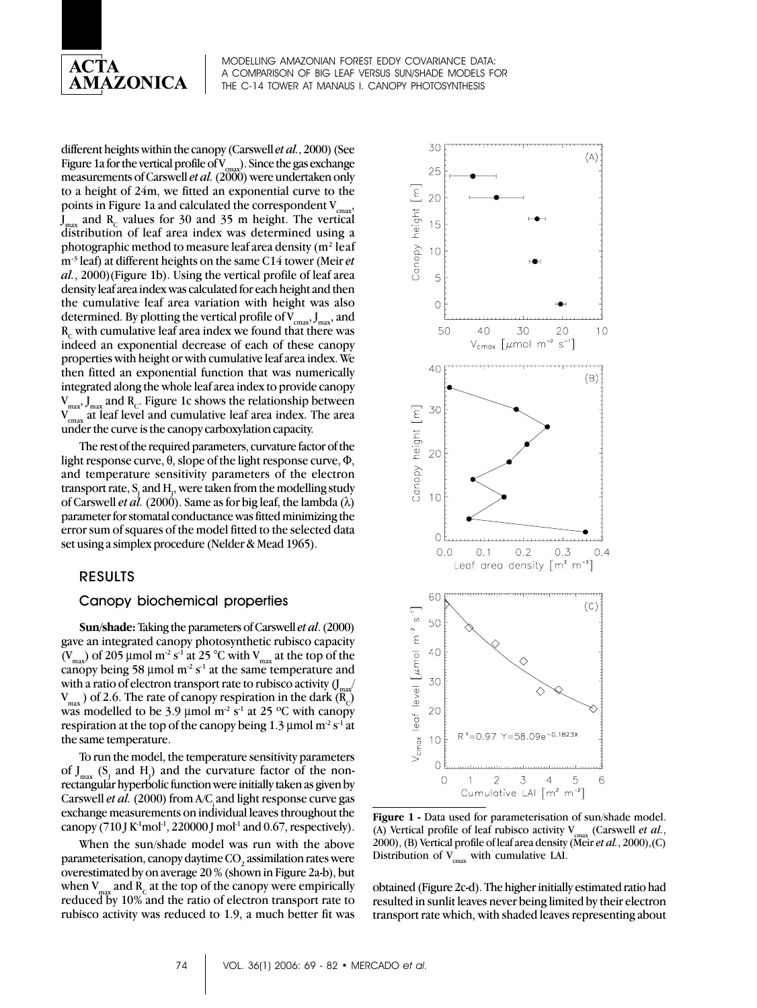

different heights within the canopy (Carswell *et al.*, 2000) (See Figure 1a for the vertical profile of  $V_{\text{cmax}}$ ). Since the gas exchange measurements of Carswell *et al.* (2000) were undertaken only to a height of 24m, we fitted an exponential curve to the points in Figure 1a and calculated the correspondent  $V_{cmax}$  $J_{\text{max}}$  and R<sub>c</sub> values for 30 and 35 m height. The vertical distribution of leaf area index was determined using a photographic method to measure leaf area density ( $m<sup>2</sup>$  leaf m-3 leaf) at different heights on the same C14 tower (Meir *et al.*, 2000)(Figure 1b). Using the vertical profile of leaf area density leaf area index was calculated for each height and then the cumulative leaf area variation with height was also determined. By plotting the vertical profile of  $V_{\text{cmax}}$ ,  $J_{\text{max}}$ , and  $R<sub>c</sub>$  with cumulative leaf area index we found that there was indeed an exponential decrease of each of these canopy properties with height or with cumulative leaf area index. We then fitted an exponential function that was numerically integrated along the whole leaf area index to provide canopy  $\rm V_{max}, \rm J_{max}$  and  $\rm R_c$ . Figure 1c shows the relationship between  $\rm V_{cmax}$  at leaf level and cumulative leaf area index. The area under the curve is the canopy carboxylation capacity.

The rest of the required parameters, curvature factor of the light response curve,  $\theta$ , slope of the light response curve,  $\Phi$ , and temperature sensitivity parameters of the electron transport rate,  $\text{S}_\text{L}$  and  $\text{H}_\text{J}$ , were taken from the modelling study of Carswell *et al.* (2000). Same as for big leaf, the lambda  $(\lambda)$ parameter for stomatal conductance was fitted minimizing the error sum of squares of the model fitted to the selected data set using a simplex procedure (Nelder & Mead 1965).

#### RESULTS

#### Canopy biochemical properties

**Sun/shade:** Taking the parameters of Carswell *et al*. (2000) gave an integrated canopy photosynthetic rubisco capacity (V<sub>max</sub>) of 205 µmol m<sup>-2</sup> s<sup>-1</sup> at 25 °C with V<sub>max</sub> at the top of the canopy being 58  $\mu$ mol m<sup>-2</sup> s<sup>-1</sup> at the same temperature and with a ratio of electron transport rate to rubisco activity  $\int_{m}$  $V_{\text{max}}$ ) of 2.6. The rate of canopy respiration in the dark (R<sub>c</sub>) was modelled to be 3.9 µmol  $m^2 s^1$  at 25 °C with canopy respiration at the top of the canopy being 1.3  $\mu$ mol m<sup>-2</sup> s<sup>-1</sup> at the same temperature.

To run the model, the temperature sensitivity parameters of  $J_{\text{max}}$  (S<sub>J</sub> and H<sub>J</sub>) and the curvature factor of the nonrectangular hyperbolic function were initially taken as given by Carswell *et al.* (2000) from A/C and light response curve gas exchange measurements on individual leaves throughout the canopy (710 J K<sup>-1</sup>mol<sup>-1</sup>, 220000 J mol<sup>-1</sup> and 0.67, respectively).

When the sun/shade model was run with the above parameterisation, canopy daytime CO $_{\textrm{\tiny{2}}}$  assimilation rates were overestimated by on average 20 % (shown in Figure 2a-b), but when  $V_{\text{max}}$  and  $R_c$  at the top of the canopy were empirically reduced by 10% and the ratio of electron transport rate to rubisco activity was reduced to 1.9, a much better fit was



**Figure 1 -** Data used for parameterisation of sun/shade model. (A) Vertical profile of leaf rubisco activity  $V_{\text{max}}$  (Carswell *et al.*, 2000), (B) Vertical profile of leaf area density (Meir *et al.*, 2000),(C) Distribution of  $V_{\text{cmax}}$  with cumulative LAI.

obtained (Figure 2c-d). The higher initially estimated ratio had resulted in sunlit leaves never being limited by their electron transport rate which, with shaded leaves representing about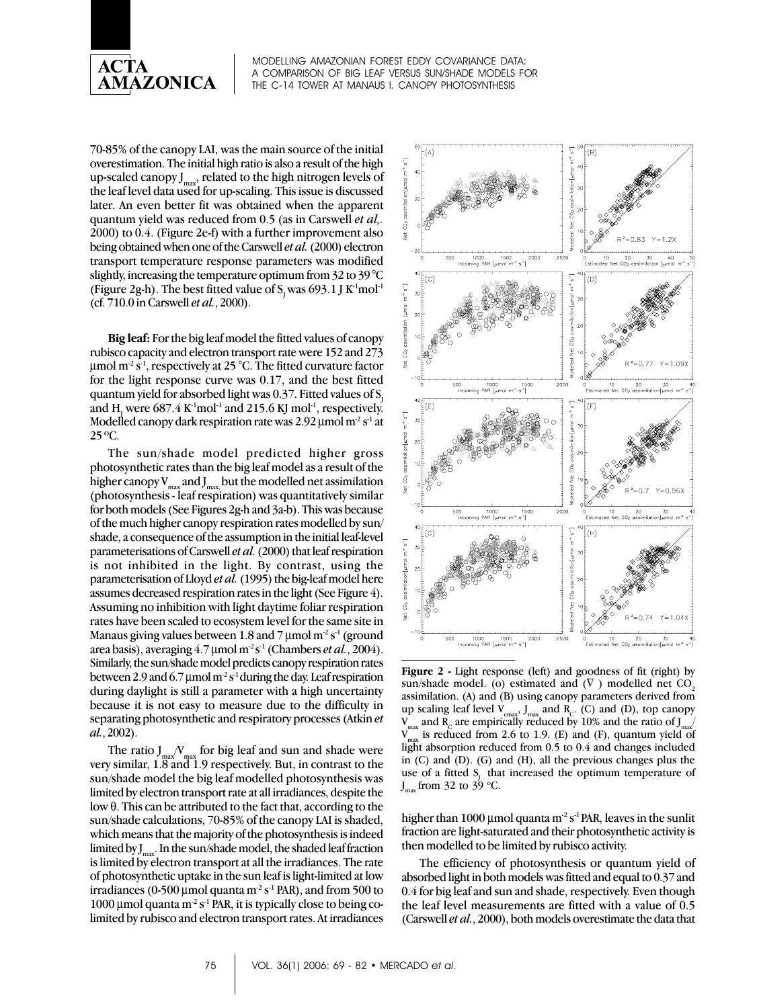

70-85% of the canopy LAI, was the main source of the initial overestimation. The initial high ratio is also a result of the high up-scaled canopy  $J_{\text{max}}$ , related to the high nitrogen levels of the leaf level data used for up-scaling. This issue is discussed later. An even better fit was obtained when the apparent quantum yield was reduced from 0.5 (as in Carswell *et al,.* 2000) to 0.4. (Figure 2e-f) with a further improvement also being obtained when one of the Carswell *et al.* (2000) electron transport temperature response parameters was modified slightly, increasing the temperature optimum from 32 to 39 °C (Figure 2g-h). The best fitted value of  $S_1$  was 693.1 J K<sup>-1</sup>mol<sup>-1</sup> (cf. 710.0 in Carswell *et al.*, 2000).

**Big leaf:** For the big leaf model the fitted values of canopy rubisco capacity and electron transport rate were 152 and 273  $\mu$ mol m<sup>-2</sup> s<sup>-1</sup>, respectively at 25 °C. The fitted curvature factor for the light response curve was 0.17, and the best fitted quantum yield for absorbed light was  $0.37$ . Fitted values of S. and  $\rm H_{_{J}}$  were 687.4 K<sup>-1</sup>mol<sup>-1</sup> and 215.6 KJ mol<sup>-1</sup>, respectively. Modelled canopy dark respiration rate was 2.92  $\mu$ mol m<sup>-2</sup> s<sup>-1</sup> at 25 ºC.

The sun/shade model predicted higher gross photosynthetic rates than the big leaf model as a result of the higher canopy  $V_{max}$  and  $J_{max}$  but the modelled net assimilation (photosynthesis - leaf respiration) was quantitatively similar for both models (See Figures 2g-h and 3a-b). This was because of the much higher canopy respiration rates modelled by sun/ shade, a consequence of the assumption in the initial leaf-level parameterisations of Carswell *et al.* (2000) that leaf respiration is not inhibited in the light. By contrast, using the parameterisation of Lloyd *et al.* (1995) the big-leaf model here assumes decreased respiration rates in the light (See Figure 4). Assuming no inhibition with light daytime foliar respiration rates have been scaled to ecosystem level for the same site in Manaus giving values between 1.8 and 7  $\mu$ mol m<sup>-2</sup> s<sup>-1</sup> (ground area basis), averaging 4.7 μmol m<sup>-2</sup> s<sup>-1</sup> (Chambers *et al.*, 2004). Similarly, the sun/shade model predicts canopy respiration rates between 2.9 and 6.7 µmol  $m^2 s^1$  during the day. Leaf respiration during daylight is still a parameter with a high uncertainty because it is not easy to measure due to the difficulty in separating photosynthetic and respiratory processes (Atkin *et al.*, 2002).

The ratio  $J_{\text{max}}/V_{\text{max}}$  for big leaf and sun and shade were very similar, 1.8 and 1.9 respectively. But, in contrast to the sun/shade model the big leaf modelled photosynthesis was limited by electron transport rate at all irradiances, despite the low θ. This can be attributed to the fact that, according to the sun/shade calculations, 70-85% of the canopy LAI is shaded, which means that the majority of the photosynthesis is indeed limited by  $J_{\text{max}}$ . In the sun/shade model, the shaded leaf fraction is limited by electron transport at all the irradiances. The rate of photosynthetic uptake in the sun leaf is light-limited at low irradiances (0-500 µmol quanta m<sup>-2</sup> s<sup>-1</sup> PAR), and from 500 to 1000 μmol quanta m<sup>-2</sup> s<sup>-1</sup> PAR, it is typically close to being colimited by rubisco and electron transport rates. At irradiances



**Figure 2 -** Light response (left) and goodness of fit (right) by sun/shade model. (o) estimated and  $(\nabla)$  modelled net CO<sub>2</sub> assimilation. (A) and (B) using canopy parameters derived from up scaling leaf level  $V_{\text{c}}$ <sub>cmax</sub>,  $J_{\text{max}}$  and  $R_{\text{c}}$ . (C) and (D), top canopy  $\rm V_{max}$  and  $\rm R_c$  are empirically reduced by  $10\%$  and the ratio of  $\rm J_{max}/$  $V_{\text{max}}$  is reduced from 2.6 to 1.9. (E) and (F), quantum yield of light absorption reduced from 0.5 to 0.4 and changes included in (C) and (D). (G) and (H), all the previous changes plus the use of a fitted S, that increased the optimum temperature of  $J_{\text{max}}$  from 32 to 39 °C.

higher than 1000 µmol quanta m<sup>-2</sup> s<sup>-1</sup> PAR, leaves in the sunlit fraction are light-saturated and their photosynthetic activity is then modelled to be limited by rubisco activity.

The efficiency of photosynthesis or quantum yield of absorbed light in both models was fitted and equal to 0.37 and 0.4 for big leaf and sun and shade, respectively. Even though the leaf level measurements are fitted with a value of 0.5 (Carswell *et al.*, 2000), both models overestimate the data that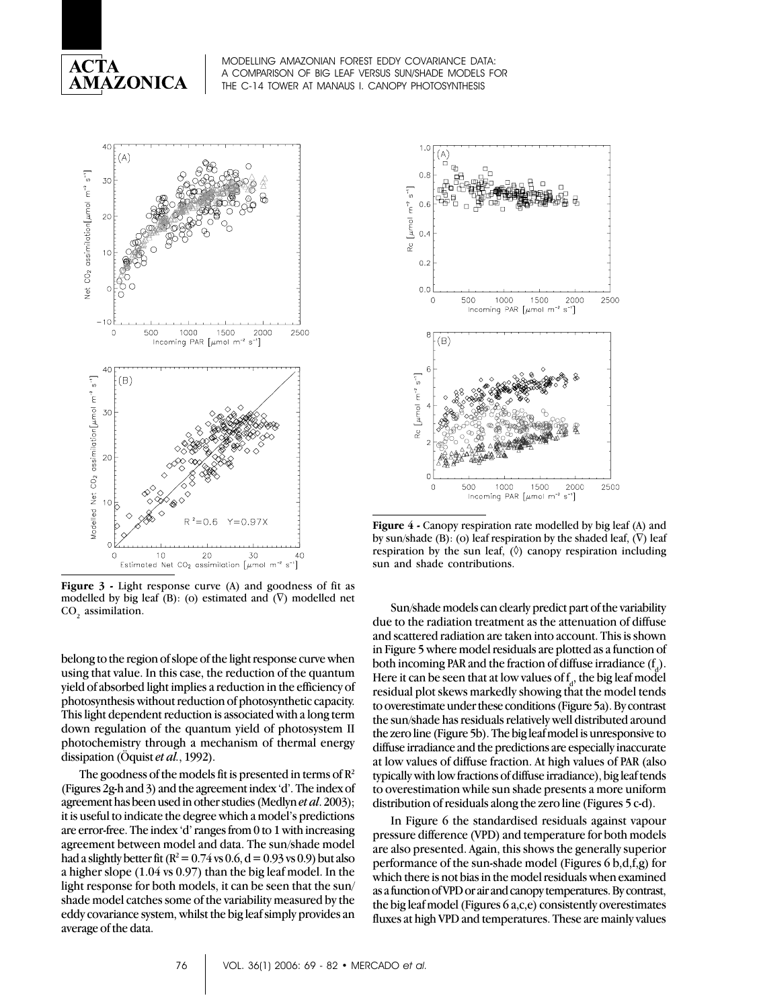



Figure 3 - Light response curve (A) and goodness of fit as modelled by big leaf (B): (o) estimated and  $(\nabla)$  modelled net CO<sub>2</sub> assimilation.

belong to the region of slope of the light response curve when using that value. In this case, the reduction of the quantum yield of absorbed light implies a reduction in the efficiency of photosynthesis without reduction of photosynthetic capacity. This light dependent reduction is associated with a long term down regulation of the quantum yield of photosystem II photochemistry through a mechanism of thermal energy dissipation (Öquist *et al.*, 1992).

The goodness of the models fit is presented in terms of  $\mathbb{R}^2$ (Figures 2g-h and 3) and the agreement index 'd'. The index of agreement has been used in other studies (Medlyn *et al*. 2003); it is useful to indicate the degree which a model's predictions are error-free. The index 'd' ranges from 0 to 1 with increasing agreement between model and data. The sun/shade model had a slightly better fit ( $R^2 = 0.74$  vs 0.6, d = 0.93 vs 0.9) but also a higher slope (1.04 vs 0.97) than the big leaf model. In the light response for both models, it can be seen that the sun/ shade model catches some of the variability measured by the eddy covariance system, whilst the big leaf simply provides an average of the data.



**Figure 4 -** Canopy respiration rate modelled by big leaf (A) and by sun/shade (B): (o) leaf respiration by the shaded leaf,  $(\vec{V})$  leaf respiration by the sun leaf,  $(\Diamond)$  canopy respiration including sun and shade contributions.

Sun/shade models can clearly predict part of the variability due to the radiation treatment as the attenuation of diffuse and scattered radiation are taken into account. This is shown in Figure 5 where model residuals are plotted as a function of both incoming PAR and the fraction of diffuse irradiance  $(f_a)$ . Here it can be seen that at low values of  $f_d$ , the big leaf model residual plot skews markedly showing that the model tends to overestimate under these conditions (Figure 5a). By contrast the sun/shade has residuals relatively well distributed around the zero line (Figure 5b). The big leaf model is unresponsive to diffuse irradiance and the predictions are especially inaccurate at low values of diffuse fraction. At high values of PAR (also typically with low fractions of diffuse irradiance), big leaf tends to overestimation while sun shade presents a more uniform distribution of residuals along the zero line (Figures 5 c-d).

In Figure 6 the standardised residuals against vapour pressure difference (VPD) and temperature for both models are also presented. Again, this shows the generally superior performance of the sun-shade model (Figures 6 b,d,f,g) for which there is not bias in the model residuals when examined as a function of VPD or air and canopy temperatures. By contrast, the big leaf model (Figures 6 a,c,e) consistently overestimates fluxes at high VPD and temperatures. These are mainly values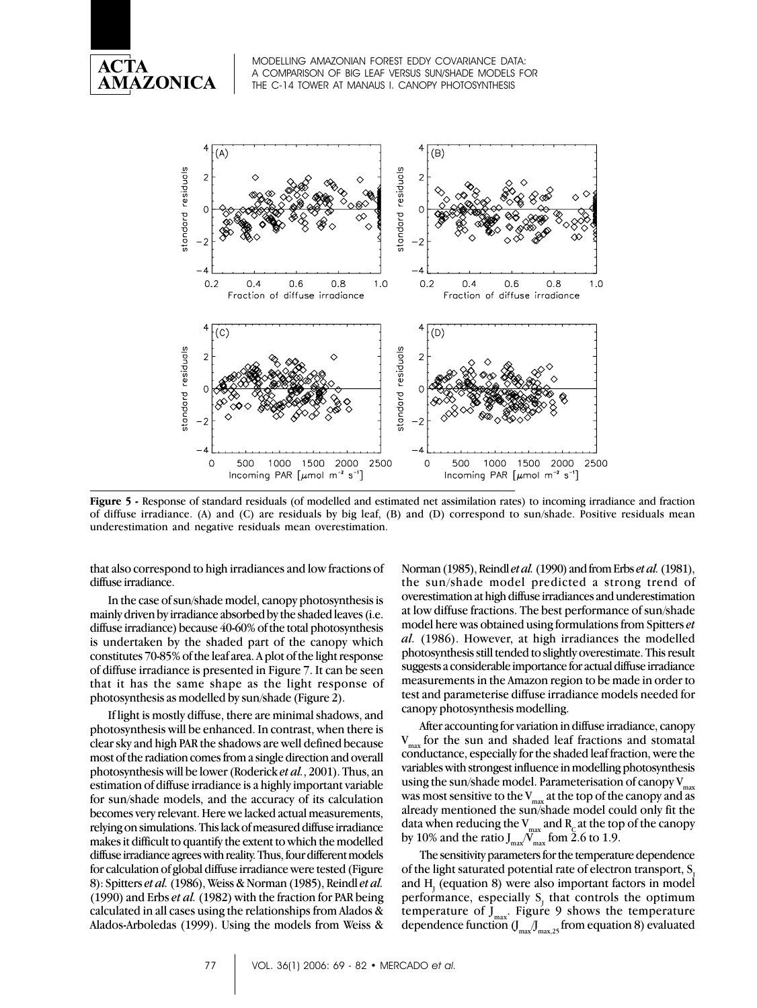



**Figure 5 -** Response of standard residuals (of modelled and estimated net assimilation rates) to incoming irradiance and fraction of diffuse irradiance. (A) and (C) are residuals by big leaf, (B) and (D) correspond to sun/shade. Positive residuals mean underestimation and negative residuals mean overestimation.

that also correspond to high irradiances and low fractions of diffuse irradiance.

In the case of sun/shade model, canopy photosynthesis is mainly driven by irradiance absorbed by the shaded leaves (i.e. diffuse irradiance) because 40-60% of the total photosynthesis is undertaken by the shaded part of the canopy which constitutes 70-85% of the leaf area. A plot of the light response of diffuse irradiance is presented in Figure 7. It can be seen that it has the same shape as the light response of photosynthesis as modelled by sun/shade (Figure 2).

If light is mostly diffuse, there are minimal shadows, and photosynthesis will be enhanced. In contrast, when there is clear sky and high PAR the shadows are well defined because most of the radiation comes from a single direction and overall photosynthesis will be lower (Roderick *et al.*, 2001). Thus, an estimation of diffuse irradiance is a highly important variable for sun/shade models, and the accuracy of its calculation becomes very relevant. Here we lacked actual measurements, relying on simulations. This lack of measured diffuse irradiance makes it difficult to quantify the extent to which the modelled diffuse irradiance agrees with reality. Thus, four different models for calculation of global diffuse irradiance were tested (Figure 8): Spitters *et al.* (1986), Weiss & Norman (1985), Reindl *et al.* (1990) and Erbs *et al.* (1982) with the fraction for PAR being calculated in all cases using the relationships from Alados & Alados-Arboledas (1999). Using the models from Weiss &

Norman (1985), Reindl *et al.* (1990) and from Erbs *et al.* (1981), the sun/shade model predicted a strong trend of overestimation at high diffuse irradiances and underestimation at low diffuse fractions. The best performance of sun/shade model here was obtained using formulations from Spitters *et al.* (1986). However, at high irradiances the modelled photosynthesis still tended to slightly overestimate. This result suggests a considerable importance for actual diffuse irradiance measurements in the Amazon region to be made in order to test and parameterise diffuse irradiance models needed for canopy photosynthesis modelling.

After accounting for variation in diffuse irradiance, canopy  $V_{\text{max}}$  for the sun and shaded leaf fractions and stomatal conductance, especially for the shaded leaf fraction, were the variables with strongest influence in modelling photosynthesis using the sun/shade model. Parameterisation of canopy  $V_{\text{max}}$ was most sensitive to the  $V_{max}$  at the top of the canopy and as already mentioned the sun/shade model could only fit the data when reducing the V $_{\rm max}$  and R<sub>c</sub> at the top of the canopy by 10% and the ratio  $J_{\rm max}^{~} {\cal N}_{\rm max}^~$  fom 2.6 to 1.9.

The sensitivity parameters for the temperature dependence of the light saturated potential rate of electron transport, S. and  $\mathrm{H}_{\mathrm{j}}$  (equation 8) were also important factors in model performance, especially  $S_j$  that controls the optimum temperature of  $J_{\text{max}}$ . Figure 9 shows the temperature dependence function  $(\int_{\mathrm{max}}\!\!\int_{\mathrm{max},25}\!$  from equation 8) evaluated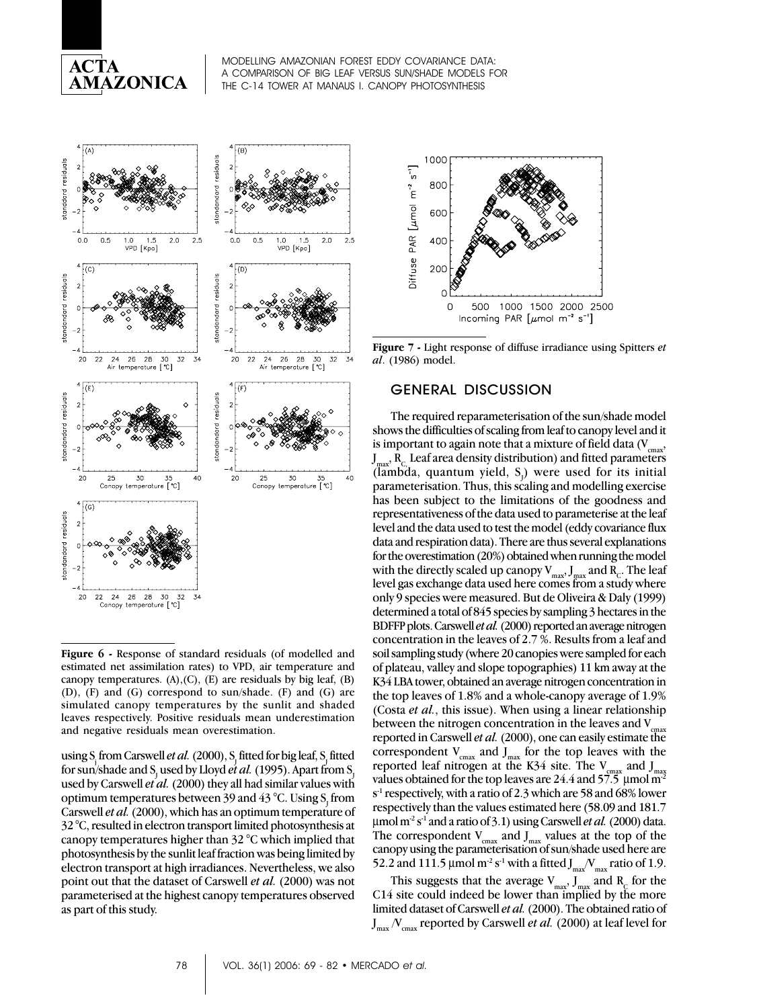



**Figure 6 -** Response of standard residuals (of modelled and estimated net assimilation rates) to VPD, air temperature and canopy temperatures. (A),(C), (E) are residuals by big leaf, (B) (D), (F) and (G) correspond to sun/shade. (F) and (G) are simulated canopy temperatures by the sunlit and shaded leaves respectively. Positive residuals mean underestimation and negative residuals mean overestimation.

using S<sub>,</sub> from Carswell *et al.* (2000), S<sub>1</sub> fitted for big leaf, S<sub>1</sub> fitted for sun/shade and S<sub>J</sub> used by Lloyd *et al.* (1995). Apart from S<sub>J</sub> used by Carswell *et al.* (2000) they all had similar values with optimum temperatures between 39 and 43 °C. Using  $\mathrm{S}_{\mathrm{J}}$  from Carswell *et al.* (2000), which has an optimum temperature of 32 °C, resulted in electron transport limited photosynthesis at canopy temperatures higher than 32 °C which implied that photosynthesis by the sunlit leaf fraction was being limited by electron transport at high irradiances. Nevertheless, we also point out that the dataset of Carswell *et al.* (2000) was not parameterised at the highest canopy temperatures observed as part of this study.



**Figure 7 -** Light response of diffuse irradiance using Spitters *et al*. (1986) model.

## GENERAL DISCUSSION

The required reparameterisation of the sun/shade model shows the difficulties of scaling from leaf to canopy level and it is important to again note that a mixture of field data  $(V_{\text{conv}},$  $J_{\text{max}}$ ,  $R_c$  Leaf area density distribution) and fitted parameters (lambda, quantum yield,  $S_j$ ) were used for its initial parameterisation. Thus, this scaling and modelling exercise has been subject to the limitations of the goodness and representativeness of the data used to parameterise at the leaf level and the data used to test the model (eddy covariance flux data and respiration data). There are thus several explanations for the overestimation (20%) obtained when running the model with the directly scaled up canopy  $\rm V_{max}, J_{max}$  and  $\rm R_{C}$ . The leaf level gas exchange data used here comes from a study where only 9 species were measured. But de Oliveira & Daly (1999) determined a total of 845 species by sampling 3 hectares in the BDFFP plots. Carswell *et al.* (2000) reported an average nitrogen concentration in the leaves of 2.7 %. Results from a leaf and soil sampling study (where 20 canopies were sampled for each of plateau, valley and slope topographies) 11 km away at the K34 LBA tower, obtained an average nitrogen concentration in the top leaves of 1.8% and a whole-canopy average of 1.9% (Costa *et al.*, this issue). When using a linear relationship between the nitrogen concentration in the leaves and  $V<sub>c</sub>$ reported in Carswell *et al.* (2000), one can easily estimate the correspondent  $V_{\text{max}}$  and  $J_{\text{max}}$  for the top leaves with the reported leaf nitrogen at the K34 site. The  $V_{\text{cmax}}$  and  $J_{\text{max}}$ values obtained for the top leaves are  $24.4$  and  $57.5$  µmol m<sup>2</sup> s<sup>-1</sup> respectively, with a ratio of 2.3 which are 58 and 68% lower respectively than the values estimated here (58.09 and 181.7  $\mu$ mol m<sup>-2</sup> s<sup>-1</sup> and a ratio of 3.1) using Carswell *et al.* (2000) data. The correspondent  $V_{\text{cm}x}$  and  $J_{\text{m}x}$  values at the top of the canopy using the parameterisation of sun/shade used here are 52.2 and 111.5  $\mu$ mol m<sup>-2</sup> s<sup>-1</sup> with a fitted  $J_{max}$   $N_{max}$  ratio of 1.9.

This suggests that the average  $V_{\text{max}}$ ,  $J_{\text{max}}$  and  $R_{\text{C}}$  for the C14 site could indeed be lower than implied by the more limited dataset of Carswell *et al.* (2000). The obtained ratio of  $J_{\text{max}}/V_{\text{cmax}}$  reported by Carswell *et al.* (2000) at leaf level for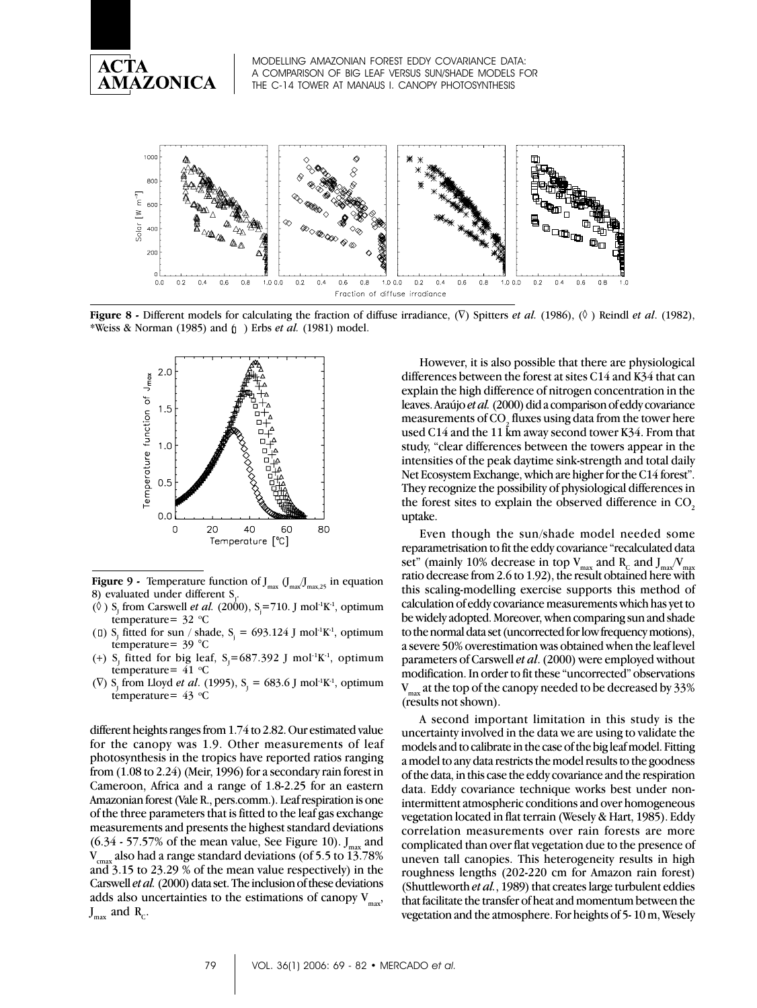



**Figure 8 -** Different models for calculating the fraction of diffuse irradiance, (∇) Spitters *et al.* (1986), (◊ ) Reindl *et al*. (1982), \*Weiss & Norman (1985) and ( ) Erbs *et al.* (1981) model.



**Figure 9 -** Temperature function of  $J_{\text{max}}$ ,  $(J_{\text{max},25}$  in equation 8) evaluated under different  $S$ .

- $(\Diamond)$  S<sub>J</sub> from Carswell *et al.* (2000), S<sub>j</sub>=710. J mol<sup>-1</sup>K<sup>-1</sup>, optimum temperature=  $32 °C$
- ( $\Box$ ) S<sub>J</sub> fitted for sun / shade, S<sub>j</sub> = 693.124 J mol<sup>-1</sup>K<sup>-1</sup>, optimum temperature= 39 °C
- (+) S<sub>J</sub> fitted for big leaf, S<sub>J</sub>=687.392 J mol<sup>-1</sup>K<sup>-1</sup>, optimum temperature=  $41^{\circ}$ C
- ( $\nabla$ ) S<sub>J</sub> from Lloyd *et al.* (1995), S<sub>J</sub> = 683.6 J mol<sup>-1</sup>K<sup>-1</sup>, optimum temperature=  $43$  °C

different heights ranges from 1.74 to 2.82. Our estimated value for the canopy was 1.9. Other measurements of leaf photosynthesis in the tropics have reported ratios ranging from (1.08 to 2.24) (Meir, 1996) for a secondary rain forest in Cameroon, Africa and a range of 1.8-2.25 for an eastern Amazonian forest (Vale R., pers.comm.). Leaf respiration is one of the three parameters that is fitted to the leaf gas exchange measurements and presents the highest standard deviations  $(6.34 \cdot 57.57\%)$  of the mean value, See Figure 10).  $J_{\text{max}}$  and V also had a range standard deviations (of 5.5 to 13.78%) also had a range standard deviations (of 5.5 to 13.78%) and 3.15 to 23.29 % of the mean value respectively) in the Carswell *et al.* (2000) data set. The inclusion of these deviations adds also uncertainties to the estimations of canopy  $V_{\text{max}}$ ,  $J_{\text{max}}$  and  $R_c$ .

However, it is also possible that there are physiological differences between the forest at sites C14 and K34 that can explain the high difference of nitrogen concentration in the leaves. Araújo *et al.* (2000) did a comparison of eddy covariance measurements of CO $\rm _2$  fluxes using data from the tower here used C14 and the 11 km away second tower K34. From that study, "clear differences between the towers appear in the intensities of the peak daytime sink-strength and total daily Net Ecosystem Exchange, which are higher for the C14 forest". They recognize the possibility of physiological differences in the forest sites to explain the observed difference in CO<sub>2</sub> uptake.

Even though the sun/shade model needed some reparametrisation to fit the eddy covariance "recalculated data set" (mainly 10% decrease in top  $V_{\text{max}}$  and  $R_c$  and  $J_{\text{max}}/V_{\text{max}}$ ratio decrease from 2.6 to 1.92), the result obtained here with this scaling-modelling exercise supports this method of calculation of eddy covariance measurements which has yet to be widely adopted. Moreover, when comparing sun and shade to the normal data set (uncorrected for low frequency motions), a severe 50% overestimation was obtained when the leaf level parameters of Carswell *et al*. (2000) were employed without modification. In order to fit these "uncorrected" observations  $V_{\text{max}}$  at the top of the canopy needed to be decreased by 33% (results not shown).

A second important limitation in this study is the uncertainty involved in the data we are using to validate the models and to calibrate in the case of the big leaf model. Fitting a model to any data restricts the model results to the goodness of the data, in this case the eddy covariance and the respiration data. Eddy covariance technique works best under nonintermittent atmospheric conditions and over homogeneous vegetation located in flat terrain (Wesely & Hart, 1985). Eddy correlation measurements over rain forests are more complicated than over flat vegetation due to the presence of uneven tall canopies. This heterogeneity results in high roughness lengths (202-220 cm for Amazon rain forest) (Shuttleworth *et al.*, 1989) that creates large turbulent eddies that facilitate the transfer of heat and momentum between the vegetation and the atmosphere. For heights of 5- 10 m, Wesely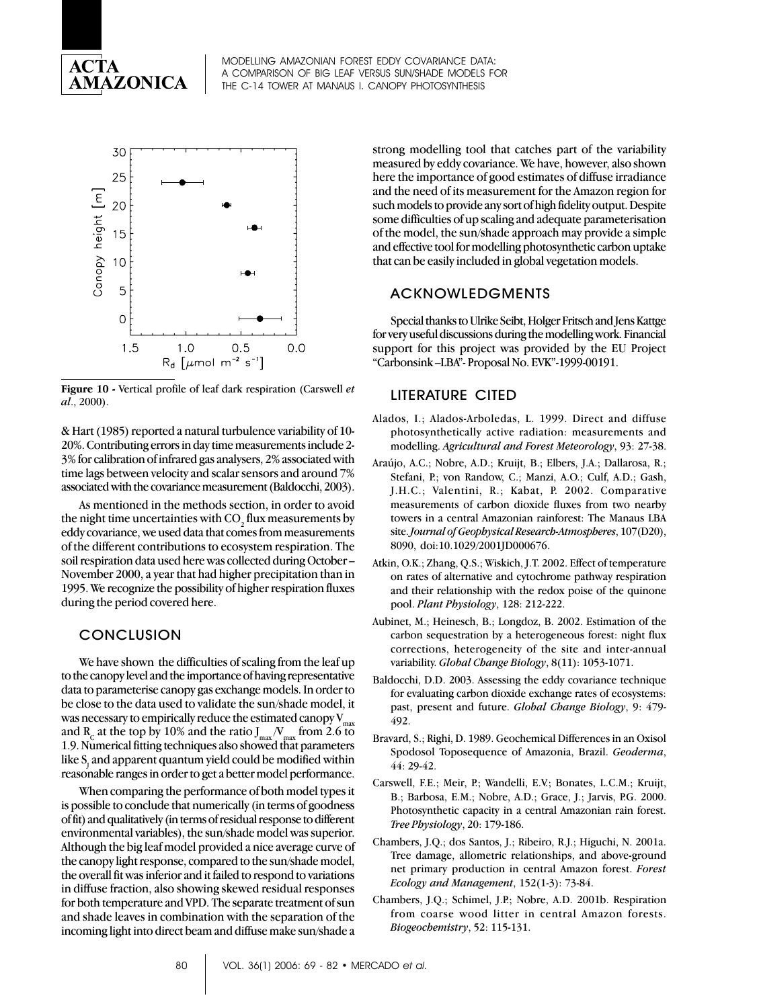



**Figure 10 -** Vertical profile of leaf dark respiration (Carswell *et al*., 2000).

& Hart (1985) reported a natural turbulence variability of 10- 20%. Contributing errors in day time measurements include 2- 3% for calibration of infrared gas analysers, 2% associated with time lags between velocity and scalar sensors and around 7% associated with the covariance measurement (Baldocchi, 2003).

As mentioned in the methods section, in order to avoid the night time uncertainties with CO<sub>2</sub> flux measurements by eddy covariance, we used data that comes from measurements of the different contributions to ecosystem respiration. The soil respiration data used here was collected during October – November 2000, a year that had higher precipitation than in 1995. We recognize the possibility of higher respiration fluxes during the period covered here.

## **CONCLUSION**

We have shown the difficulties of scaling from the leaf up to the canopy level and the importance of having representative data to parameterise canopy gas exchange models. In order to be close to the data used to validate the sun/shade model, it was necessary to empirically reduce the estimated canopy  $V_{max}$ and R<sub>c</sub> at the top by 10% and the ratio  $J_{max}/V_{max}$  from 2.6 to 1.9. Numerical fitting techniques also showed that parameters like  $\boldsymbol{\mathrm{S}}_{_{\!J}}$  and apparent quantum yield could be modified within reasonable ranges in order to get a better model performance.

When comparing the performance of both model types it is possible to conclude that numerically (in terms of goodness of fit) and qualitatively (in terms of residual response to different environmental variables), the sun/shade model was superior. Although the big leaf model provided a nice average curve of the canopy light response, compared to the sun/shade model, the overall fit was inferior and it failed to respond to variations in diffuse fraction, also showing skewed residual responses for both temperature and VPD. The separate treatment of sun and shade leaves in combination with the separation of the incoming light into direct beam and diffuse make sun/shade a strong modelling tool that catches part of the variability measured by eddy covariance. We have, however, also shown here the importance of good estimates of diffuse irradiance and the need of its measurement for the Amazon region for such models to provide any sort of high fidelity output. Despite some difficulties of up scaling and adequate parameterisation of the model, the sun/shade approach may provide a simple and effective tool for modelling photosynthetic carbon uptake that can be easily included in global vegetation models.

## ACKNOWLEDGMENTS

Special thanks to Ulrike Seibt, Holger Fritsch and Jens Kattge for very useful discussions during the modelling work. Financial support for this project was provided by the EU Project "Carbonsink –LBA"- Proposal No. EVK"-1999-00191.

## LITERATURE CITED

- Alados, I.; Alados-Arboledas, L. 1999. Direct and diffuse photosynthetically active radiation: measurements and modelling. *Agricultural and Forest Meteorology*, 93: 27-38.
- Araújo, A.C.; Nobre, A.D.; Kruijt, B.; Elbers, J.A.; Dallarosa, R.; Stefani, P.; von Randow, C.; Manzi, A.O.; Culf, A.D.; Gash, J.H.C.; Valentini, R.; Kabat, P. 2002. Comparative measurements of carbon dioxide fluxes from two nearby towers in a central Amazonian rainforest: The Manaus LBA site. *Journal of Geophysical Research-Atmospheres*, 107(D20), 8090, doi:10.1029/2001JD000676.
- Atkin, O.K.; Zhang, Q.S.; Wiskich, J.T. 2002. Effect of temperature on rates of alternative and cytochrome pathway respiration and their relationship with the redox poise of the quinone pool. *Plant Physiology*, 128: 212-222.
- Aubinet, M.; Heinesch, B.; Longdoz, B. 2002. Estimation of the carbon sequestration by a heterogeneous forest: night flux corrections, heterogeneity of the site and inter-annual variability. *Global Change Biology*, 8(11): 1053-1071.
- Baldocchi, D.D. 2003. Assessing the eddy covariance technique for evaluating carbon dioxide exchange rates of ecosystems: past, present and future. *Global Change Biology*, 9: 479- 492.
- Bravard, S.; Righi, D. 1989. Geochemical Differences in an Oxisol Spodosol Toposequence of Amazonia, Brazil. *Geoderma*, 44: 29-42.
- Carswell, F.E.; Meir, P.; Wandelli, E.V.; Bonates, L.C.M.; Kruijt, B.; Barbosa, E.M.; Nobre, A.D.; Grace, J.; Jarvis, P.G. 2000. Photosynthetic capacity in a central Amazonian rain forest. *Tree Physiology*, 20: 179-186.
- Chambers, J.Q.; dos Santos, J.; Ribeiro, R.J.; Higuchi, N. 2001a. Tree damage, allometric relationships, and above-ground net primary production in central Amazon forest. *Forest Ecology and Management*, 152(1-3): 73-84.
- Chambers, J.Q.; Schimel, J.P.; Nobre, A.D. 2001b. Respiration from coarse wood litter in central Amazon forests. *Biogeochemistry*, 52: 115-131.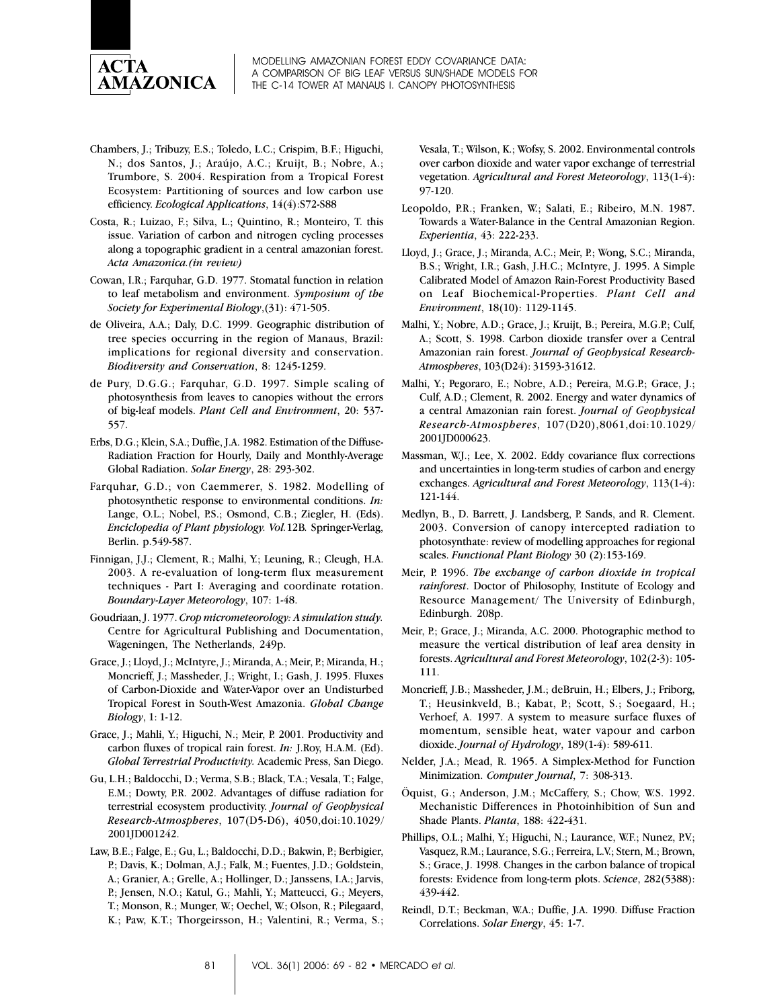

- Chambers, J.; Tribuzy, E.S.; Toledo, L.C.; Crispim, B.F.; Higuchi, N.; dos Santos, J.; Araújo, A.C.; Kruijt, B.; Nobre, A.; Trumbore, S. 2004. Respiration from a Tropical Forest Ecosystem: Partitioning of sources and low carbon use efficiency. *Ecological Applications*, 14(4):S72-S88
- Costa, R.; Luizao, F.; Silva, L.; Quintino, R.; Monteiro, T. this issue. Variation of carbon and nitrogen cycling processes along a topographic gradient in a central amazonian forest. *Acta Amazonica.(in review)*
- Cowan, I.R.; Farquhar, G.D. 1977. Stomatal function in relation to leaf metabolism and environment. *Symposium of the Society for Experimental Biology*,(31): 471-505.
- de Oliveira, A.A.; Daly, D.C. 1999. Geographic distribution of tree species occurring in the region of Manaus, Brazil: implications for regional diversity and conservation. *Biodiversity and Conservation*, 8: 1245-1259.
- de Pury, D.G.G.; Farquhar, G.D. 1997. Simple scaling of photosynthesis from leaves to canopies without the errors of big-leaf models. *Plant Cell and Environment*, 20: 537- 557.
- Erbs, D.G.; Klein, S.A.; Duffie, J.A. 1982. Estimation of the Diffuse-Radiation Fraction for Hourly, Daily and Monthly-Average Global Radiation. *Solar Energy*, 28: 293-302.
- Farquhar, G.D.; von Caemmerer, S. 1982. Modelling of photosynthetic response to environmental conditions. *In:* Lange, O.L.; Nobel, P.S.; Osmond, C.B.; Ziegler, H. (Eds). *Enciclopedia of Plant physiology. Vol.*12B*.* Springer-Verlag, Berlin. p.549-587.
- Finnigan, J.J.; Clement, R.; Malhi, Y.; Leuning, R.; Cleugh, H.A. 2003. A re-evaluation of long-term flux measurement techniques - Part I: Averaging and coordinate rotation. *Boundary-Layer Meteorology*, 107: 1-48.
- Goudriaan, J. 1977. *Crop micrometeorology: A simulation study.* Centre for Agricultural Publishing and Documentation, Wageningen, The Netherlands, 249p.
- Grace, J.; Lloyd, J.; McIntyre, J.; Miranda, A.; Meir, P.; Miranda, H.; Moncrieff, J.; Massheder, J.; Wright, I.; Gash, J. 1995. Fluxes of Carbon-Dioxide and Water-Vapor over an Undisturbed Tropical Forest in South-West Amazonia. *Global Change Biology*, 1: 1-12.
- Grace, J.; Mahli, Y.; Higuchi, N.; Meir, P. 2001. Productivity and carbon fluxes of tropical rain forest. *In:* J.Roy, H.A.M. (Ed). *Global Terrestrial Productivity.* Academic Press, San Diego.
- Gu, L.H.; Baldocchi, D.; Verma, S.B.; Black, T.A.; Vesala, T.; Falge, E.M.; Dowty, P.R. 2002. Advantages of diffuse radiation for terrestrial ecosystem productivity. *Journal of Geophysical Research-Atmospheres*, 107(D5-D6), 4050,doi:10.1029/ 2001JD001242.
- Law, B.E.; Falge, E.; Gu, L.; Baldocchi, D.D.; Bakwin, P.; Berbigier, P.; Davis, K.; Dolman, A.J.; Falk, M.; Fuentes, J.D.; Goldstein, A.; Granier, A.; Grelle, A.; Hollinger, D.; Janssens, I.A.; Jarvis, P.; Jensen, N.O.; Katul, G.; Mahli, Y.; Matteucci, G.; Meyers, T.; Monson, R.; Munger, W.; Oechel, W.; Olson, R.; Pilegaard, K.; Paw, K.T.; Thorgeirsson, H.; Valentini, R.; Verma, S.;

Vesala, T.; Wilson, K.; Wofsy, S. 2002. Environmental controls over carbon dioxide and water vapor exchange of terrestrial vegetation. *Agricultural and Forest Meteorology*, 113(1-4): 97-120.

- Leopoldo, P.R.; Franken, W.; Salati, E.; Ribeiro, M.N. 1987. Towards a Water-Balance in the Central Amazonian Region. *Experientia*, 43: 222-233.
- Lloyd, J.; Grace, J.; Miranda, A.C.; Meir, P.; Wong, S.C.; Miranda, B.S.; Wright, I.R.; Gash, J.H.C.; McIntyre, J. 1995. A Simple Calibrated Model of Amazon Rain-Forest Productivity Based on Leaf Biochemical-Properties. *Plant Cell and Environment*, 18(10): 1129-1145.
- Malhi, Y.; Nobre, A.D.; Grace, J.; Kruijt, B.; Pereira, M.G.P.; Culf, A.; Scott, S. 1998. Carbon dioxide transfer over a Central Amazonian rain forest. *Journal of Geophysical Research-Atmospheres*, 103(D24): 31593-31612.
- Malhi, Y.; Pegoraro, E.; Nobre, A.D.; Pereira, M.G.P.; Grace, J.; Culf, A.D.; Clement, R. 2002. Energy and water dynamics of a central Amazonian rain forest. *Journal of Geophysical Research-Atmospheres*, 107(D20),8061,doi:10.1029/ 2001JD000623.
- Massman, W.J.; Lee, X. 2002. Eddy covariance flux corrections and uncertainties in long-term studies of carbon and energy exchanges. *Agricultural and Forest Meteorology*, 113(1-4): 121-144.
- Medlyn, B., D. Barrett, J. Landsberg, P. Sands, and R. Clement. 2003. Conversion of canopy intercepted radiation to photosynthate: review of modelling approaches for regional scales. *Functional Plant Biology* 30 (2):153-169.
- Meir, P. 1996. *The exchange of carbon dioxide in tropical rainforest*. Doctor of Philosophy, Institute of Ecology and Resource Management/ The University of Edinburgh, Edinburgh. 208p.
- Meir, P.; Grace, J.; Miranda, A.C. 2000. Photographic method to measure the vertical distribution of leaf area density in forests. *Agricultural and Forest Meteorology*, 102(2-3): 105- 111.
- Moncrieff, J.B.; Massheder, J.M.; deBruin, H.; Elbers, J.; Friborg, T.; Heusinkveld, B.; Kabat, P.; Scott, S.; Soegaard, H.; Verhoef, A. 1997. A system to measure surface fluxes of momentum, sensible heat, water vapour and carbon dioxide. *Journal of Hydrology*, 189(1-4): 589-611.
- Nelder, J.A.; Mead, R. 1965. A Simplex-Method for Function Minimization. *Computer Journal*, 7: 308-313.
- Öquist, G.; Anderson, J.M.; McCaffery, S.; Chow, W.S. 1992. Mechanistic Differences in Photoinhibition of Sun and Shade Plants. *Planta*, 188: 422-431.
- Phillips, O.L.; Malhi, Y.; Higuchi, N.; Laurance, W.F.; Nunez, P.V.; Vasquez, R.M.; Laurance, S.G.; Ferreira, L.V.; Stern, M.; Brown, S.; Grace, J. 1998. Changes in the carbon balance of tropical forests: Evidence from long-term plots. *Science*, 282(5388): 439-442.
- Reindl, D.T.; Beckman, W.A.; Duffie, J.A. 1990. Diffuse Fraction Correlations. *Solar Energy*, 45: 1-7.